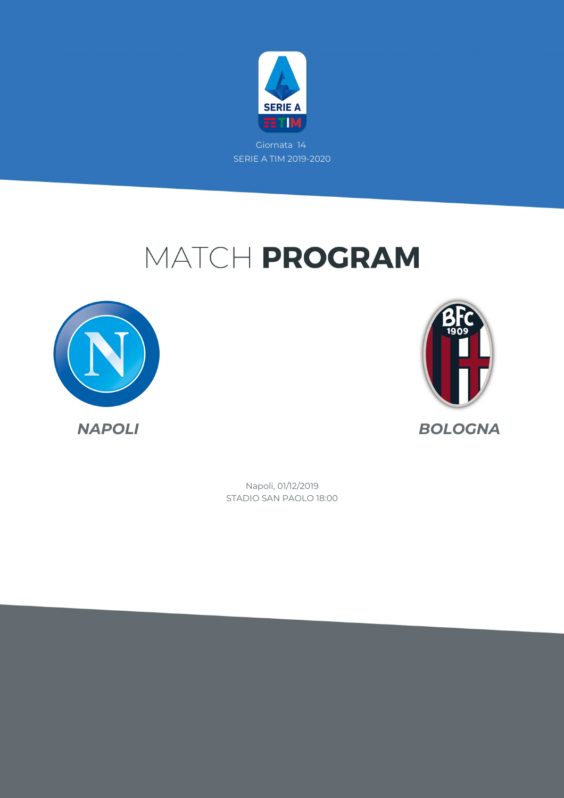

# MATCH PROGRAM





STADIO SAN PAOLO 18:00 Napoli, 01/12/2019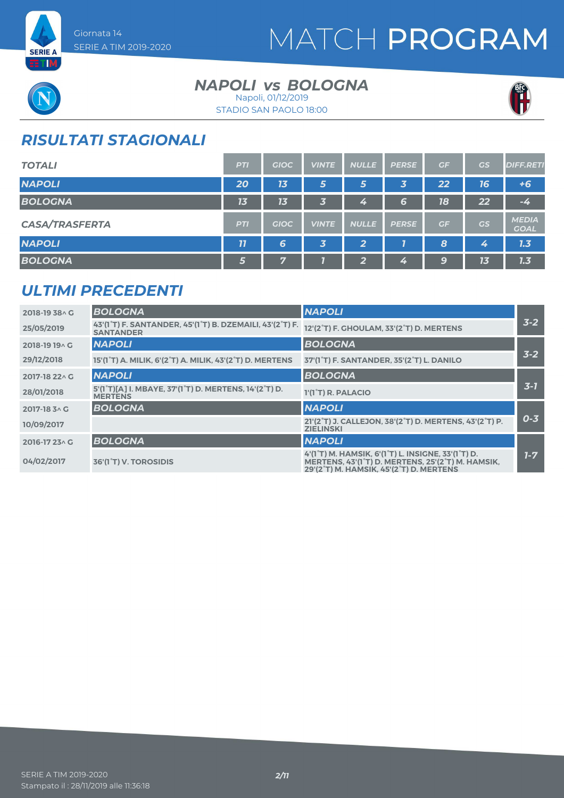



**ETM** 

#### **NAPOLI** *vs* BOLOGNA Napoli, 01/12/2019

STADIO SAN PAOLO 18:00



### *RISULTATI STAGIONALI*

| <b>TOTALI</b>         | <b>PTI</b>         | <b>GIOC</b> | <b>VINTE</b>            | <b>NULLE</b>   | <b>PERSE</b> | GF | <b>GS</b> | <b>DIFF.RETI</b>            |
|-----------------------|--------------------|-------------|-------------------------|----------------|--------------|----|-----------|-----------------------------|
| <b>NAPOLI</b>         | 20                 | 13          | 5                       | 5              | 3            | 22 | 76        | $+6$                        |
| <b>BOLOGNA</b>        | 13                 | 13          | 3                       | Z.             | 6            | 18 | 22        | $-4$                        |
| <b>CASA/TRASFERTA</b> | <b>PTI</b>         | <b>GIOC</b> | <b>VINTE</b>            | <b>NULLE</b>   | <b>PERSE</b> | GF | GS        | <b>MEDIA</b><br><b>GOAL</b> |
| <b>NAPOLI</b>         | $\overline{\bf 7}$ | 6           | $\overline{\mathbf{3}}$ | $\overline{2}$ |              | 8  | 4         | 7.3                         |
| <b>BOLOGNA</b>        | 5                  | 7           |                         | 2              | 4            | 9  | 13        | 1.3                         |

### *ULTIMI PRECEDENTI*

| 2018-19 38 A G        | <b>BOLOGNA</b>                                                                                                      | <b>NAPOLI</b>                                                                                                                                      |         |
|-----------------------|---------------------------------------------------------------------------------------------------------------------|----------------------------------------------------------------------------------------------------------------------------------------------------|---------|
| 25/05/2019            | 43'(1 <sup>°</sup> T) F. SANTANDER, 45'(1 <sup>°</sup> T) B. DZEMAILI, 43'(2 <sup>°</sup> T) F.<br><b>SANTANDER</b> | 12'(2°T) F. GHOULAM, 33'(2°T) D. MERTENS                                                                                                           | $3 - 2$ |
| 2018-19 19 ^ G        | <b>NAPOLI</b>                                                                                                       | <b>BOLOGNA</b>                                                                                                                                     |         |
| 29/12/2018            | 15'(1°T) A. MILIK, 6'(2°T) A. MILIK, 43'(2°T) D. MERTENS                                                            | 37'(1°T) F. SANTANDER, 35'(2°T) L. DANILO                                                                                                          | $3 - 2$ |
| 2017-18 22 \ G        | <b>NAPOLI</b>                                                                                                       | <b>BOLOGNA</b>                                                                                                                                     |         |
| 28/01/2018            | 5'(1°T)[A] I. MBAYE, 37'(1°T) D. MERTENS, 14'(2°T) D.<br><b>MERTENS</b>                                             | 1'(1°T) R. PALACIO                                                                                                                                 | $3 - 7$ |
| $2017 - 183 \wedge G$ | <b>BOLOGNA</b>                                                                                                      | <b>NAPOLI</b>                                                                                                                                      |         |
| 10/09/2017            |                                                                                                                     | 21'(2°T) J. CALLEJON, 38'(2°T) D. MERTENS, 43'(2°T) P.<br><b>ZIELINSKI</b>                                                                         | $0 - 3$ |
| 2016-17 23 \ G        | <b>BOLOGNA</b>                                                                                                      | <b>NAPOLI</b>                                                                                                                                      |         |
| 04/02/2017            | 36'(1 <sup>°</sup> T) V. TOROSIDIS                                                                                  | 4'(1°T) M. HAMSIK, 6'(1°T) L. INSIGNE, 33'(1°T) D.<br>MERTENS, 43'(1°T) D. MERTENS, 25'(2°T) M. HAMSIK,<br>29'(2°T) M. HAMSIK, 45'(2°T) D. MERTENS | $1 - 7$ |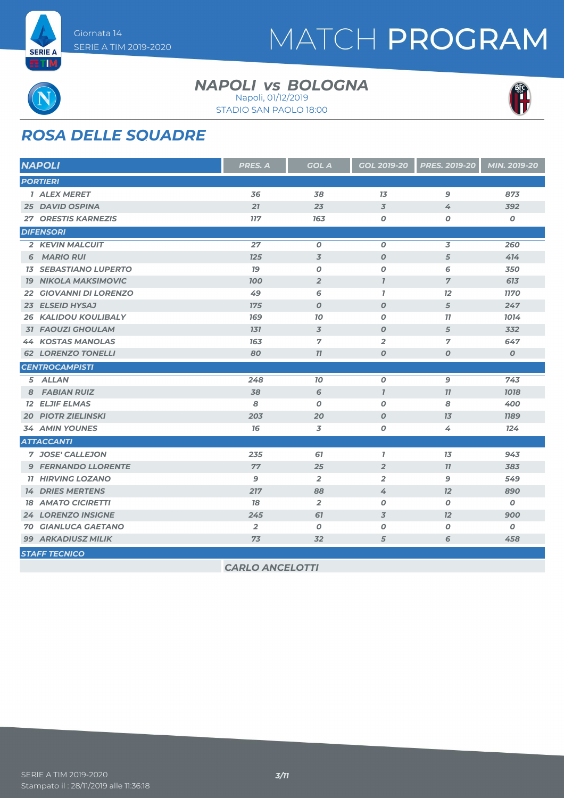



# *ROSA DELLE SQUADRE*

|                 | <b>NAPOLI</b>                | PRES. A        | <b>GOL A</b>             | GOL 2019-20              | <b>PRES. 2019-20</b> | MIN. 2019-20     |
|-----------------|------------------------------|----------------|--------------------------|--------------------------|----------------------|------------------|
|                 | <b>PORTIERI</b>              |                |                          |                          |                      |                  |
|                 | <b>1 ALEX MERET</b>          | 36             | 38                       | 13                       | $\mathbf{9}$         | 873              |
|                 | <b>25 DAVID OSPINA</b>       | 21             | 23                       | $\overline{3}$           | 4                    | 392              |
|                 | <b>27 ORESTIS KARNEZIS</b>   | <b>117</b>     | 163                      | 0                        | $\boldsymbol{0}$     | 0                |
|                 | <b>DIFENSORI</b>             |                |                          |                          |                      |                  |
|                 | 2 KEVIN MALCUIT              | 27             | $\boldsymbol{0}$         | $\boldsymbol{0}$         | 3                    | 260              |
| 6               | <b>MARIO RUI</b>             | 125            | $\overline{\mathcal{S}}$ | $\boldsymbol{O}$         | 5                    | 414              |
|                 | <b>13 SEBASTIANO LUPERTO</b> | 79             | $\boldsymbol{O}$         | $\boldsymbol{0}$         | 6                    | 350              |
| 79              | <b>NIKOLA MAKSIMOVIC</b>     | <b>100</b>     | $\overline{2}$           | $\overline{I}$           | $\overline{7}$       | 613              |
| 22 <sub>2</sub> | <b>GIOVANNI DI LORENZO</b>   | 49             | 6                        | $\mathbf{7}$             | 12                   | <b>1170</b>      |
|                 | 23 ELSEID HYSAJ              | 175            | $\boldsymbol{0}$         | $\boldsymbol{O}$         | 5                    | 247              |
|                 | <b>26 KALIDOU KOULIBALY</b>  | 169            | 10                       | $\boldsymbol{0}$         | 77                   | 1014             |
|                 | <b>31 FAOUZI GHOULAM</b>     | 131            | 3                        | $\boldsymbol{0}$         | 5                    | 332              |
|                 | <b>44 KOSTAS MANOLAS</b>     | 163            | $\overline{7}$           | $\overline{2}$           | $\overline{7}$       | 647              |
|                 | <b>62 LORENZO TONELLI</b>    | 80             | 11                       | $\boldsymbol{0}$         | $\boldsymbol{O}$     | $\boldsymbol{o}$ |
|                 | <b>CENTROCAMPISTI</b>        |                |                          |                          |                      |                  |
|                 | 5 ALLAN                      | 248            | 70                       | $\boldsymbol{o}$         | 9                    | 743              |
| 8               | <b>FABIAN RUIZ</b>           | 38             | 6                        | $\overline{I}$           | 77                   | 1018             |
|                 | <b>12 ELJIF ELMAS</b>        | 8              | $\boldsymbol{0}$         | $\boldsymbol{o}$         | 8                    | 400              |
|                 | <b>20 PIOTR ZIELINSKI</b>    | 203            | 20                       | $\boldsymbol{0}$         | 13                   | <b>1189</b>      |
|                 | <b>34 AMIN YOUNES</b>        | 76             | 3                        | 0                        | 4                    | 124              |
|                 | <b>ATTACCANTI</b>            |                |                          |                          |                      |                  |
|                 | 7 JOSE' CALLEJON             | 235            | 67                       | $\overline{1}$           | 13                   | 943              |
|                 | <b>9 FERNANDO LLORENTE</b>   | 77             | 25                       | $\overline{2}$           | 77                   | 383              |
|                 | <b>11 HIRVING LOZANO</b>     | 9              | $\overline{2}$           | $\overline{2}$           | $\mathbf{9}$         | 549              |
|                 | <b>14 DRIES MERTENS</b>      | 217            | 88                       | 4                        | 12                   | 890              |
|                 | <b>18 AMATO CICIRETTI</b>    | 78             | $\overline{2}$           | $\boldsymbol{o}$         | $\boldsymbol{O}$     | 0                |
|                 | <b>24 LORENZO INSIGNE</b>    | 245            | 67                       | $\overline{\mathcal{Z}}$ | 12                   | 900              |
|                 | <b>70 GIANLUCA GAETANO</b>   | $\overline{2}$ | O                        | $\boldsymbol{O}$         | $\boldsymbol{O}$     | $\boldsymbol{o}$ |
|                 | <b>99 ARKADIUSZ MILIK</b>    | 73             | 32                       | 5                        | 6                    | 458              |
|                 | <b>STAFF TECNICO</b>         |                |                          |                          |                      |                  |

**NAPOLI** *vs* BOLOGNA

STADIO SAN PAOLO 18:00 Napoli, 01/12/2019

*CARLO ANCELOTTI*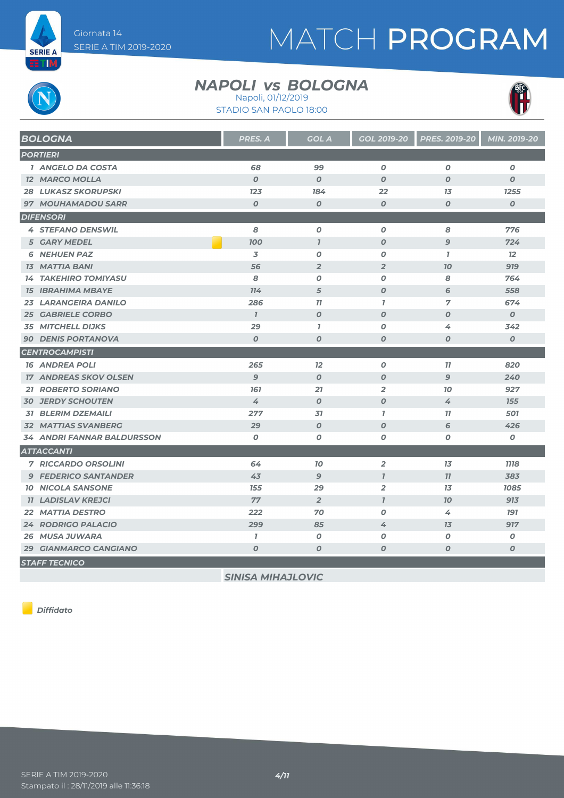

# MATCH PROGRAM

#### **NAPOLI** *vs* BOLOGNA Napoli, 01/12/2019

STADIO SAN PAOLO 18:00



*BOLOGNA PRES. A GOL A GOL 2019-20 PRES. 2019-20 MIN. 2019-20 PORTIERI ANGELO DA COSTA 68 99 0 0 0 MARCO MOLLA 0 0 0 0 0 LUKASZ SKORUPSKI 123 184 22 13 1255 MOUHAMADOU SARR 0 0 0 0 0 DIFENSORI STEFANO DENSWIL 8 0 0 8 776 GARY MEDEL 100 1 0 9 724 NEHUEN PAZ 3 0 0 1 12 MATTIA BANI 56 2 2 10 919 TAKEHIRO TOMIYASU 8 0 0 8 764 IBRAHIMA MBAYE 114 5 0 6 558 LARANGEIRA DANILO 286 11 1 7 674 GABRIELE CORBO 1 0 0 0 0 MITCHELL DIJKS 29 1 0 4 342 DENIS PORTANOVA 0 0 0 0 0 CENTROCAMPISTI ANDREA POLI 265 12 0 11 820 ANDREAS SKOV OLSEN 9 0 0 9 240 ROBERTO SORIANO 161 21 2 10 927 JERDY SCHOUTEN 4 0 0 4 155 BLERIM DZEMAILI 277 31 1 11 501 MATTIAS SVANBERG 29 0 0 6 426 ANDRI FANNAR BALDURSSON 0 0 0 0 0 ATTACCANTI RICCARDO ORSOLINI 64 10 2 13 1118 FEDERICO SANTANDER 43 9 1 11 383 NICOLA SANSONE 155 29 2 13 1085 LADISLAV KREJCI 77 2 1 10 913 MATTIA DESTRO 222 70 0 4 191 RODRIGO PALACIO 299 85 4 13 917 MUSA JUWARA 1 0 0 0 0 GIANMARCO CANGIANO 0 0 0 0 0 STAFF TECNICO*

*Diffidato*

*SINISA MIHAJLOVIC*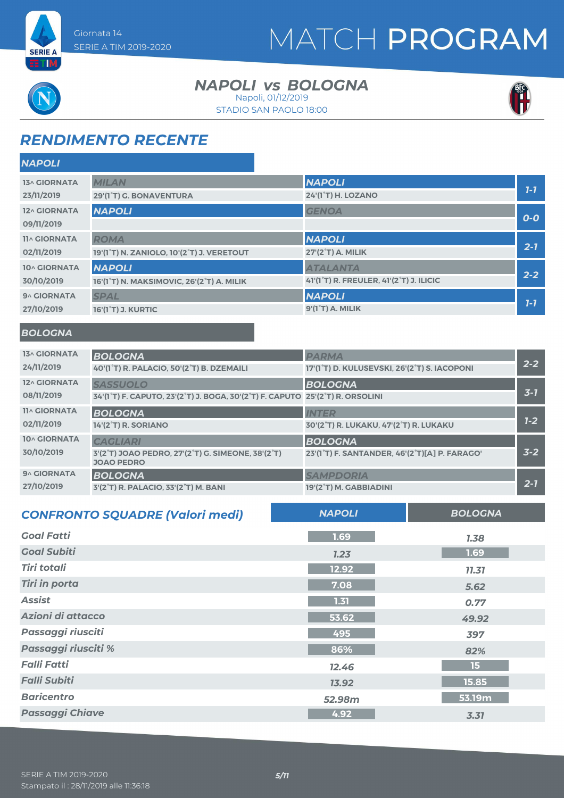



**RTM** 

#### **NAPOLI** *vs* BOLOGNA Napoli, 01/12/2019

STADIO SAN PAOLO 18:00



### *RENDIMENTO RECENTE*

| <b>NAPOLI</b>       |                                           |                                                                   |         |
|---------------------|-------------------------------------------|-------------------------------------------------------------------|---------|
| <b>13^ GIORNATA</b> | <b>MILAN</b>                              | <b>NAPOLI</b>                                                     |         |
| 23/11/2019          | 29'(1°T) G. BONAVENTURA                   | 24'(1 <sup>°</sup> T) H. LOZANO                                   | $1 - 7$ |
| 12^ GIORNATA        | <b>NAPOLI</b>                             | <b>GENOA</b>                                                      | $O-O$   |
| 09/11/2019          |                                           |                                                                   |         |
| <b>11^ GIORNATA</b> | <b>ROMA</b>                               | <b>NAPOLI</b>                                                     |         |
| 02/11/2019          | 19'(1°T) N. ZANIOLO, 10'(2°T) J. VERETOUT | 27'(2°T) A. MILIK                                                 | $2 - 1$ |
| 10^ GIORNATA        | <b>NAPOLI</b>                             | <b>ATALANTA</b>                                                   |         |
| 30/10/2019          | 16'(1°T) N. MAKSIMOVIC, 26'(2°T) A. MILIK | 41'(1 <sup>°</sup> T) R. FREULER, 41'(2 <sup>°</sup> T) J. ILICIC | $2 - 2$ |
| 9^ GIORNATA         | <b>SPAL</b>                               | <b>NAPOLI</b>                                                     |         |
| 27/10/2019          | <b>16'(1°T) J. KURTIC</b>                 | 9'(1°T) A. MILIK                                                  | $1 - 7$ |

#### *BOLOGNA*

| <b>13^ GIORNATA</b> | <b>BOLOGNA</b>                                                                                                                    | <b>PARMA</b>                                  |         |
|---------------------|-----------------------------------------------------------------------------------------------------------------------------------|-----------------------------------------------|---------|
| 24/11/2019          | 40'(1°T) R. PALACIO, 50'(2°T) B. DZEMAILI                                                                                         | 17'(1°T) D. KULUSEVSKI, 26'(2°T) S. IACOPONI  | $2 - 2$ |
| 12^ GIORNATA        | <b>SASSUOLO</b>                                                                                                                   | <b>BOLOGNA</b>                                |         |
| 08/11/2019          | 34'(1 <sup>°</sup> T) F. CAPUTO, 23'(2 <sup>°</sup> T) J. BOGA, 30'(2 <sup>°</sup> T) F. CAPUTO 25'(2 <sup>°</sup> T) R. ORSOLINI |                                               | $3 - 7$ |
| <b>11^ GIORNATA</b> | <b>BOLOGNA</b>                                                                                                                    | <b>INTER</b>                                  |         |
| 02/11/2019          | 14'(2°T) R. SORIANO                                                                                                               | 30'(2°T) R. LUKAKU, 47'(2°T) R. LUKAKU        | $1 - 2$ |
| 10^ GIORNATA        | <b>CAGLIARI</b>                                                                                                                   | <b>BOLOGNA</b>                                |         |
| 30/10/2019          | 3'(2°T) JOAO PEDRO, 27'(2°T) G. SIMEONE, 38'(2°T)<br><b>JOAO PEDRO</b>                                                            | 23'(1°T) F. SANTANDER, 46'(2°T)[A] P. FARAGO' | $3 - 2$ |
| <b>9^ GIORNATA</b>  | <b>BOLOGNA</b>                                                                                                                    | <b>SAMPDORIA</b>                              |         |
| 27/10/2019          | 3'(2°T) R. PALACIO, 33'(2°T) M. BANI                                                                                              | 19'(2°T) M. GABBIADINI                        | $2 - 7$ |

| <b>CONFRONTO SQUADRE (Valori medi)</b> | <b>NAPOLI</b> | <b>BOLOGNA</b> |
|----------------------------------------|---------------|----------------|
| <b>Goal Fatti</b>                      | 1.69          | 7.38           |
| <b>Goal Subiti</b>                     | 1.23          | 1.69           |
| <b>Tiri totali</b>                     | 12.92         | 11.31          |
| <b>Tiri in porta</b>                   | 7.08          | 5.62           |
| <b>Assist</b>                          | 1.31          | 0.77           |
| Azioni di attacco                      | 53.62         | 49.92          |
| Passaggi riusciti                      | 495           | 397            |
| Passaggi riusciti %                    | 86%           | 82%            |
| <b>Falli Fatti</b>                     | 12.46         | 15             |
| <b>Falli Subiti</b>                    | 13.92         | 15.85          |
| <b>Baricentro</b>                      | 52.98m        | 53.19m         |
| <b>Passaggi Chiave</b>                 | 4.92          | 3.31           |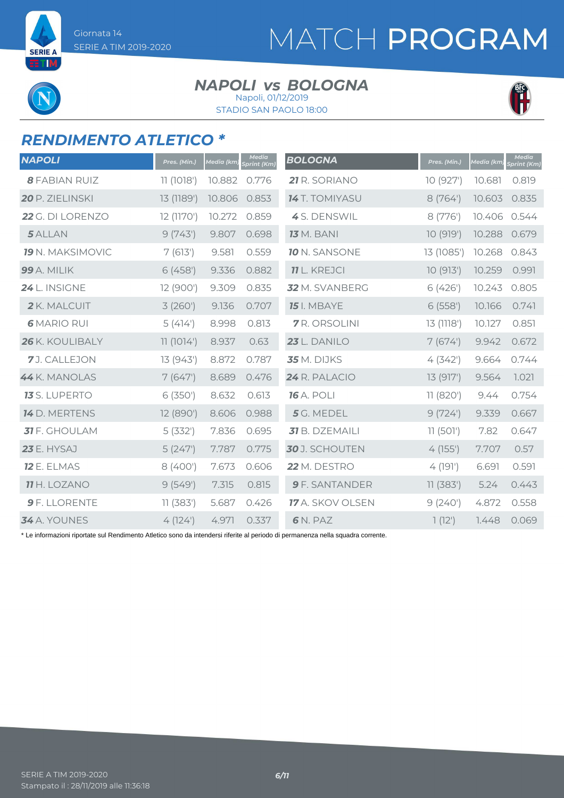**SERIE A ETIM** 

# MATCH PROGRAM

#### **NAPOLI** *vs* BOLOGNA Napoli, 01/12/2019

STADIO SAN PAOLO 18:00



### *RENDIMENTO ATLETICO \**

| <b>NAPOLI</b>           | Pres. (Min.) | <b>Media</b> (km) | Media<br><b>Sprint (Km)</b> | <b>BOLOGNA</b>        | Pres. (Min.) | Media (km) | <b>Media</b><br>Sprint (Km) |
|-------------------------|--------------|-------------------|-----------------------------|-----------------------|--------------|------------|-----------------------------|
| <b>8 FABIAN RUIZ</b>    | 11(1018')    | 10.882            | 0.776                       | 21 R. SORIANO         | 10 (927')    | 10.681     | 0.819                       |
| 20 P. ZIELINSKI         | 13 (1189')   | 10.806            | 0.853                       | <b>14</b> T. TOMIYASU | 8 (764')     | 10.603     | 0.835                       |
| 22 G. DI LORENZO        | 12 (1170')   | 10.272            | 0.859                       | 4S. DENSWIL           | 8 (776')     | 10.406     | 0.544                       |
| 5 ALLAN                 | 9(743)       | 9.807             | 0.698                       | <b>13</b> M. BANI     | 10 (919')    | 10.288     | 0.679                       |
| <b>19</b> N. MAKSIMOVIC | 7(613)       | 9.581             | 0.559                       | <b>10 N. SANSONE</b>  | 13 (1085')   | 10.268     | 0.843                       |
| 99 A. MILIK             | 6(458)       | 9.336             | 0.882                       | <b>11</b> L. KREJCI   | 10 (913')    | 10.259     | 0.991                       |
| 24 L. INSIGNE           | 12 (900')    | 9.309             | 0.835                       | 32 M. SVANBERG        | 6 (426')     | 10.243     | 0.805                       |
| 2 K. MALCUIT            | 3(260)       | 9.136             | 0.707                       | <b>15</b> I. MBAYE    | 6(558)       | 10.166     | 0.741                       |
| <b>6 MARIO RUI</b>      | 5(414)       | 8.998             | 0.813                       | <b>7</b> R. ORSOLINI  | 13 (1118')   | 10.127     | 0.851                       |
| 26 K. KOULIBALY         | 11(1014)     | 8.937             | 0.63                        | 23 L. DANILO          | 7(674)       | 9.942      | 0.672                       |
| 7J. CALLEJON            | 13 (943')    | 8.872             | 0.787                       | <b>35</b> M. DIJKS    | 4(342)       | 9.664      | 0.744                       |
| 44 K. MANOLAS           | 7(647)       | 8.689             | 0.476                       | 24 R. PALACIO         | 13 (917')    | 9.564      | 1.021                       |
| <b>13</b> S. LUPERTO    | 6(350)       | 8.632             | 0.613                       | <b>16</b> A. POLI     | 11 (820')    | 9.44       | 0.754                       |
| <b>14</b> D. MERTENS    | 12 (890')    | 8.606             | 0.988                       | 5 G. MEDEL            | 9(724)       | 9.339      | 0.667                       |
| <b>31</b> F. GHOULAM    | 5(332)       | 7.836             | 0.695                       | 31 B. DZEMAILI        | 11(501)      | 7.82       | 0.647                       |
| 23 E. HYSAJ             | 5(247)       | 7.787             | 0.775                       | 30 J. SCHOUTEN        | 4(155)       | 7.707      | 0.57                        |
| <b>12 E. ELMAS</b>      | 8 (400')     | 7.673             | 0.606                       | 22 M. DESTRO          | 4(191)       | 6.691      | 0.591                       |
| <b>11</b> H. LOZANO     | 9(549)       | 7.315             | 0.815                       | <b>9</b> F. SANTANDER | 11(383)      | 5.24       | 0.443                       |
| 9 F. LLORENTE           | 11(383)      | 5.687             | 0.426                       | 17 A. SKOV OLSEN      | 9(240)       | 4.872      | 0.558                       |
| 34 A. YOUNES            | 4(124)       | 4.971             | 0.337                       | 6N. PAZ               | 1(12)        | 1.448      | 0.069                       |

\* Le informazioni riportate sul Rendimento Atletico sono da intendersi riferite al periodo di permanenza nella squadra corrente.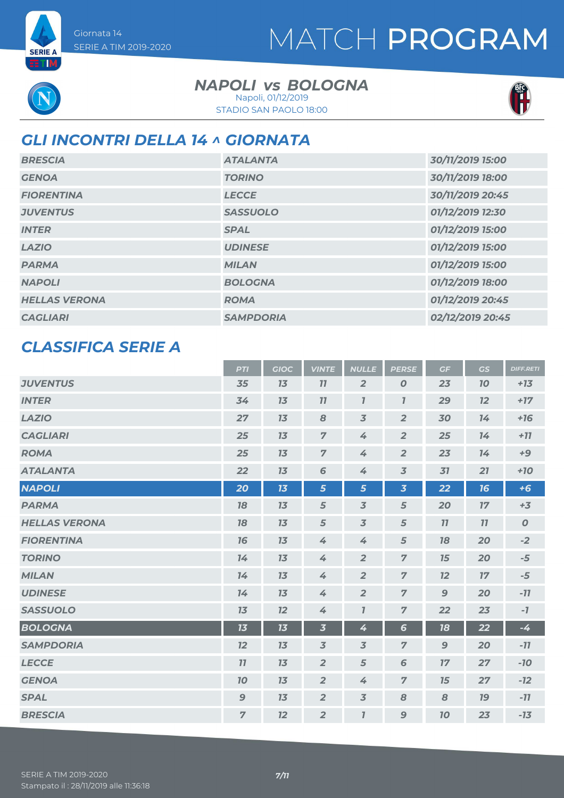**SERIE A** ETIM

#### **NAPOLI** *vs* BOLOGNA Napoli, 01/12/2019

STADIO SAN PAOLO 18:00



## *GLI INCONTRI DELLA 14 ^ GIORNATA*

| <b>BRESCIA</b>       | <b>ATALANTA</b>  | 30/11/2019 15:00 |
|----------------------|------------------|------------------|
| <b>GENOA</b>         | <b>TORINO</b>    | 30/11/2019 18:00 |
| <b>FIORENTINA</b>    | <b>LECCE</b>     | 30/11/2019 20:45 |
| <b>JUVENTUS</b>      | <b>SASSUOLO</b>  | 01/12/2019 12:30 |
| <b>INTER</b>         | <b>SPAL</b>      | 01/12/2019 15:00 |
| <b>LAZIO</b>         | <b>UDINESE</b>   | 01/12/2019 15:00 |
| <b>PARMA</b>         | <b>MILAN</b>     | 01/12/2019 15:00 |
| <b>NAPOLI</b>        | <b>BOLOGNA</b>   | 01/12/2019 18:00 |
| <b>HELLAS VERONA</b> | <b>ROMA</b>      | 01/12/2019 20:45 |
| <b>CAGLIARI</b>      | <b>SAMPDORIA</b> | 02/12/2019 20:45 |

### *CLASSIFICA SERIE A*

|                      | <b>PTI</b>     | <b>GIOC</b> | <b>VINTE</b>            | <b>NULLE</b>                | <b>PERSE</b>            | GF               | GS        | <b>DIFF.RETI</b> |
|----------------------|----------------|-------------|-------------------------|-----------------------------|-------------------------|------------------|-----------|------------------|
| <b>JUVENTUS</b>      | 35             | 13          | 11                      | $\overline{2}$              | $\boldsymbol{O}$        | 23               | <b>10</b> | $+13$            |
| <b>INTER</b>         | 34             | 13          | 11                      | $\boldsymbol{\overline{I}}$ | $\mathbf{I}$            | 29               | 12        | $+17$            |
| <b>LAZIO</b>         | 27             | 13          | 8                       | $\overline{3}$              | $\overline{2}$          | 30               | 14        | $+16$            |
| <b>CAGLIARI</b>      | 25             | 13          | $\overline{7}$          | 4                           | $\overline{2}$          | 25               | 14        | $+77$            |
| <b>ROMA</b>          | 25             | 13          | $\overline{7}$          | $\measuredangle$            | $\overline{2}$          | 23               | 14        | $+9$             |
| <b>ATALANTA</b>      | 22             | 13          | 6                       | 4                           | $\overline{\mathbf{3}}$ | 31               | 21        | $+10$            |
| <b>NAPOLI</b>        | 20             | 13          | 5                       | 5                           | $\overline{\mathbf{3}}$ | 22               | 16        | $+6$             |
| <b>PARMA</b>         | 18             | 13          | 5                       | $\overline{3}$              | 5                       | 20               | 17        | $+3$             |
| <b>HELLAS VERONA</b> | 18             | 13          | 5                       | $\overline{3}$              | 5                       | 11               | 11        | $\boldsymbol{O}$ |
| <b>FIORENTINA</b>    | 16             | 13          | 4                       | 4                           | $\sqrt{5}$              | 18               | 20        | $-2$             |
| <b>TORINO</b>        | 14             | 13          | 4                       | $\overline{2}$              | $\overline{7}$          | 15               | 20        | $-5$             |
| <b>MILAN</b>         | 14             | 13          | 4                       | $\overline{2}$              | $\overline{z}$          | 12               | 17        | $-5$             |
| <b>UDINESE</b>       | 14             | 13          | 4                       | $\overline{2}$              | $\overline{7}$          | $\mathbf{9}$     | 20        | $-11$            |
| <b>SASSUOLO</b>      | 13             | 12          | 4                       | $\overline{I}$              | $\overline{7}$          | 22               | 23        | $-7$             |
| <b>BOLOGNA</b>       | 13             | 13          | $\overline{\mathbf{3}}$ | 4                           | $6\phantom{1}$          | 18               | 22        | -4               |
| <b>SAMPDORIA</b>     | 12             | 13          | $\overline{3}$          | $\overline{3}$              | $\overline{7}$          | $\boldsymbol{9}$ | 20        | $-11$            |
| <b>LECCE</b>         | 11             | 13          | $\overline{2}$          | 5                           | 6                       | 17               | 27        | $-10$            |
| <b>GENOA</b>         | 70             | 13          | $\overline{2}$          | 4                           | $\overline{7}$          | 15               | 27        | $-12$            |
| <b>SPAL</b>          | $\mathbf{9}$   | 13          | $\overline{2}$          | $\overline{3}$              | 8                       | 8                | <b>19</b> | $-11$            |
| <b>BRESCIA</b>       | $\overline{7}$ | 12          | $\overline{2}$          | $\overline{I}$              | 9                       | 10               | 23        | $-13$            |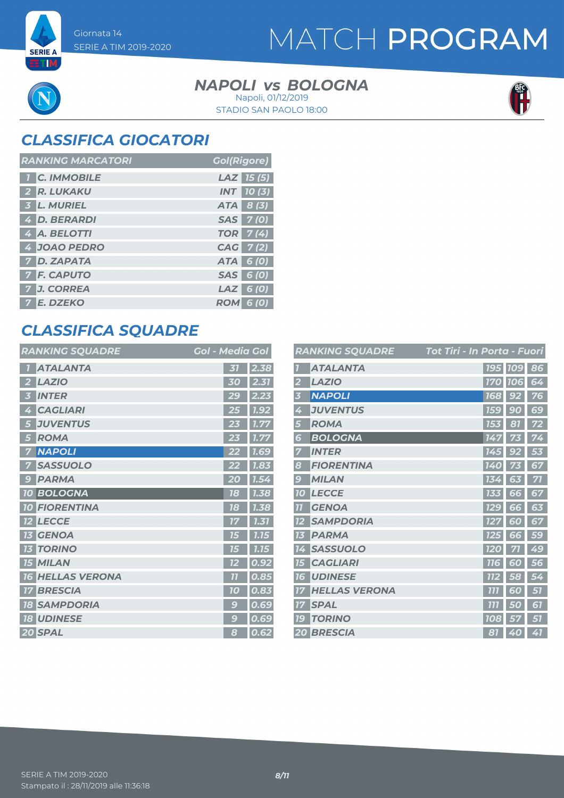**SERIE A** ETM

# MATCH PROGRAM

#### **NAPOLI** *vs* BOLOGNA Napoli, 01/12/2019



STADIO SAN PAOLO 18:00

## *CLASSIFICA GIOCATORI*

| <b>RANKING MARCATORI</b> | <b>Gol(Rigore)</b> |
|--------------------------|--------------------|
| <b>1 C. IMMOBILE</b>     | $LAZ$ 15 (5)       |
| 2 R. LUKAKU              | <b>INT</b> 10(3)   |
| 3 L. MURIEL              | ATA 8 (3)          |
| 4 D. BERARDI             | SAS 7(0)           |
| 4 A. BELOTTI             | <b>TOR</b> 7(4)    |
| 4 JOAO PEDRO             | CAG 7(2)           |
| <b>7 D. ZAPATA</b>       | ATA 6 (0)          |
| <b>7 F. CAPUTO</b>       | SAS 6 (0)          |
| 7 J. CORREA              | $LAZ$ 6 (0)        |
| 7 E. DZEKO               | <b>ROM 6 (0)</b>   |

### *CLASSIFICA SQUADRE*

| <b>RANKING SQUADRE</b>            | <b>Gol - Media Gol</b>  |
|-----------------------------------|-------------------------|
| <b>ATALANTA</b>                   | 2.38<br>31              |
| <b>LAZIO</b><br>2                 | 2.31<br>30              |
| <b>INTER</b><br>3                 | 29<br>2.23              |
| <b>CAGLIARI</b><br>Ą              | 7.92<br>25              |
| <b>JUVENTUS</b><br>5              | 1.77<br>23              |
| <b>ROMA</b><br>5                  | 1.77                    |
| <b>NAPOLI</b>                     | <b>1.69</b>             |
| <b>SASSUOLO</b>                   | 1.83                    |
| <b>PARMA</b><br>9                 | 20<br>1.54              |
| <b>10 BOLOGNA</b>                 | 18<br>1.38              |
| <b>FIORENTINA</b><br><b>10</b>    | 1.38<br>78              |
| <b>LECCE</b>                      | 1.31<br>17              |
| <b>GENOA</b>                      | 1.15<br>75              |
| <b>TORINO</b><br>73               | 1.15<br>75              |
| <b>15 MILAN</b>                   | 0.92<br>72              |
| <b>HELLAS VERONA</b><br><b>16</b> | $\overline{11}$<br>0.85 |
| <b>BRESCIA</b><br>17              | 0.83<br>70              |
| <b>SAMPDORIA</b><br>18            | 0.69<br>g               |
| <b>18 UDINESE</b>                 | 0.69<br>g               |
| 20 SPAL                           | 0.62<br>8               |

|                | <b>RANKING SQUADRE</b> | Tot Tiri - In Porta - Fuori |            |                |    |
|----------------|------------------------|-----------------------------|------------|----------------|----|
|                | <b>ATALANTA</b>        |                             |            | <b>195 109</b> | 86 |
|                | <b>LAZIO</b>           |                             | <b>170</b> | <b>706</b>     | 64 |
| 3              | <b>NAPOLI</b>          |                             | <b>168</b> | 92             | 76 |
| 4              | <b>JUVENTUS</b>        |                             | <b>159</b> | 90             | 69 |
| 5              | <b>ROMA</b>            |                             | <b>153</b> | 81             | 72 |
| 6              | <b>BOLOGNA</b>         |                             | 147        | 73             | 74 |
| 7              | <b>INTER</b>           |                             | 145        | 92             | 53 |
| 8              | <b>FIORENTINA</b>      |                             | 140        |                | 67 |
| 9              | <b>MILAN</b>           |                             | 134        | 63             | 71 |
| <b>10</b>      | <b>LECCE</b>           |                             | <b>133</b> | 66             | 67 |
| $\overline{1}$ | <b>GENOA</b>           |                             | <b>129</b> | 66             | 63 |
| 12             | <b>SAMPDORIA</b>       |                             | 127        | 60             | 67 |
| 73             | <b>PARMA</b>           |                             | <b>125</b> | 66             | 59 |
| 14             | <b>SASSUOLO</b>        |                             | <b>120</b> | 71             | 49 |
| 15             | <b>CAGLIARI</b>        |                             | <b>116</b> | 60             | 56 |
| 7<br>6         | <b>UDINESE</b>         |                             | 112        | 58             | 54 |
|                | <b>HELLAS VERONA</b>   |                             | זוז        | 6<br>0         | 51 |
| 17             | <b>SPAL</b>            |                             | 777        | 50             | 67 |
| 79             | <b>TORINO</b>          |                             | <b>108</b> | 57             | 57 |
|                | <b>20 BRESCIA</b>      |                             | 81         | 40             | 41 |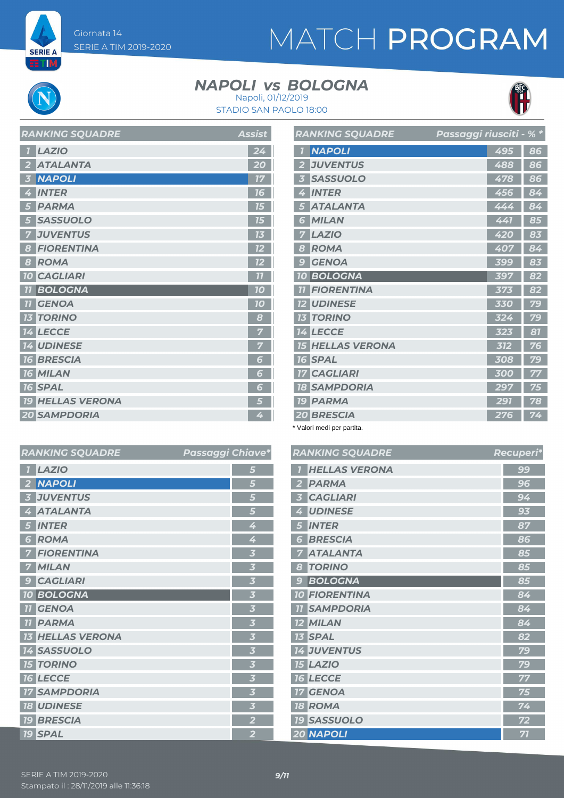**SERIE A ETIM** 

# MATCH PROGRAM

### **NAPOLI** *vs* BOLOGNA





|                         | <b>RANKING SQUADRE</b>  | Passaggi riusciti - % * |     |    |
|-------------------------|-------------------------|-------------------------|-----|----|
| $\overline{1}$          | <b>NAPOLI</b>           |                         | 495 | 86 |
| $\overline{2}$          | <b>JUVENTUS</b>         |                         | 488 | 86 |
| $\overline{\mathbf{3}}$ | <b>SASSUOLO</b>         |                         | 478 | 86 |
| 4                       | <b>INTER</b>            |                         | 456 | 84 |
| 5                       | <b>ATALANTA</b>         |                         | 444 | 84 |
| 6                       | <b>MILAN</b>            |                         | 441 | 85 |
| 7                       | <b>LAZIO</b>            |                         | 420 | 83 |
| 8                       | <b>ROMA</b>             |                         | 407 | 84 |
| $\mathbf{C}$            | <b>GENOA</b>            |                         | 399 | 83 |
| <b>10</b>               | <b>BOLOGNA</b>          |                         | 397 | 82 |
| 77                      | <b>FIORENTINA</b>       |                         | 373 | 82 |
|                         | <b>12 UDINESE</b>       |                         | 330 | 79 |
|                         | <b>13 TORINO</b>        |                         | 324 | 79 |
|                         | <b>14 LECCE</b>         |                         | 323 | 81 |
|                         | <b>15 HELLAS VERONA</b> |                         | 312 | 76 |
|                         | <b>16 SPAL</b>          |                         | 308 | 79 |
|                         | <b>17 CAGLIARI</b>      |                         | 300 | 77 |
|                         | <b>18 SAMPDORIA</b>     |                         | 297 | 75 |
|                         | <b>19 PARMA</b>         |                         | 291 | 78 |
|                         | <b>20 BRESCIA</b>       |                         | 276 | 74 |

\* Valori medi per partita.

| <b>RANKING SQUADRE</b>      | <u>Passaggi Chiave*</u> | <b>RANKINGS</b>                 |
|-----------------------------|-------------------------|---------------------------------|
| <b>LAZIO</b>                | 5                       | <b>HELLAS</b>                   |
| <b>NAPOLI</b>               | 5                       | <b>PARMA</b><br>2               |
| <b>JUVENTUS</b>             | 5                       | <b>CAGLIA</b>                   |
| <b>ATALANTA</b>             | 5                       | <b>UDINES</b>                   |
| <b>INTER</b><br>5           | 4                       | <b>INTER</b><br>5               |
| <b>ROMA</b><br>6            | 4                       | <b>BRESCI</b><br>6              |
| <b>FIORENTINA</b>           | $\overline{\mathbf{3}}$ | <b>ATALAI</b>                   |
| <b>MILAN</b>                | $\overline{\mathbf{3}}$ | <b>TORINC</b><br>8              |
| <b>CAGLIARI</b>             | $\overline{\mathbf{3}}$ | <b>BOLOG</b><br>g               |
| <b>10 BOLOGNA</b>           | $\overline{\mathbf{3}}$ | <b>10 FIOREN</b>                |
| <b>GENOA</b><br>77          | $\overline{\mathbf{3}}$ | <b>SAMPD</b><br>11              |
| <b>PARMA</b>                | $\overline{\mathbf{3}}$ | <b>12 MILAN</b>                 |
| <b>HELLAS VERONA</b><br>13  | $\overline{\mathbf{3}}$ | <b>13 SPAL</b>                  |
| <b>14 SASSUOLO</b>          | $\overline{\mathbf{3}}$ | 14 JUVENT                       |
| <b>15 TORINO</b>            | $\overline{\mathbf{3}}$ | <b>15 LAZIO</b>                 |
| <b>16 LECCE</b>             | $\overline{\mathbf{3}}$ | <b>16 LECCE</b>                 |
| <b>SAMPDORIA</b>            | $\overline{\mathbf{3}}$ | <b>GENOA</b><br>17 <sup>1</sup> |
| <b>18 UDINESE</b>           | $\overline{\mathbf{3}}$ | <b>18 ROMA</b>                  |
| <b>BRESCIA</b><br><b>19</b> | $\overline{2}$          | <b>19 SASSUO</b>                |
| <b>19 SPAL</b>              | $\overline{2}$          | 20 NAPOL                        |

|                         | <b>RANKING SQUADRE</b> | <b>Recuperi*</b> |
|-------------------------|------------------------|------------------|
| $\overline{I}$          | <b>HELLAS VERONA</b>   | 99               |
| $\overline{\mathbf{2}}$ | <b>PARMA</b>           | 96               |
| 3                       | <b>CAGLIARI</b>        | 94               |
| 4                       | <b>UDINESE</b>         | 93               |
| 5                       | <b>INTER</b>           | 87               |
| 6                       | <b>BRESCIA</b>         | 86               |
| 7                       | <b>ATALANTA</b>        | 85               |
| 8                       | <b>TORINO</b>          | 85               |
| 9                       | <b>BOLOGNA</b>         | 85               |
|                         | <b>10 FIORENTINA</b>   | 84               |
|                         | <b>11 SAMPDORIA</b>    | 84               |
|                         | <b>12 MILAN</b>        | 84               |
|                         | <b>13 SPAL</b>         | 82               |
|                         | <b>14 JUVENTUS</b>     | 79               |
|                         | <b>15 LAZIO</b>        | 79               |
|                         | <b>16 LECCE</b>        | 77               |
|                         | <b>17 GENOA</b>        | 75               |
|                         | <b>18 ROMA</b>         | 74               |
|                         | <b>19 SASSUOLO</b>     | 72               |
|                         | <b>20 NAPOLI</b>       | 71               |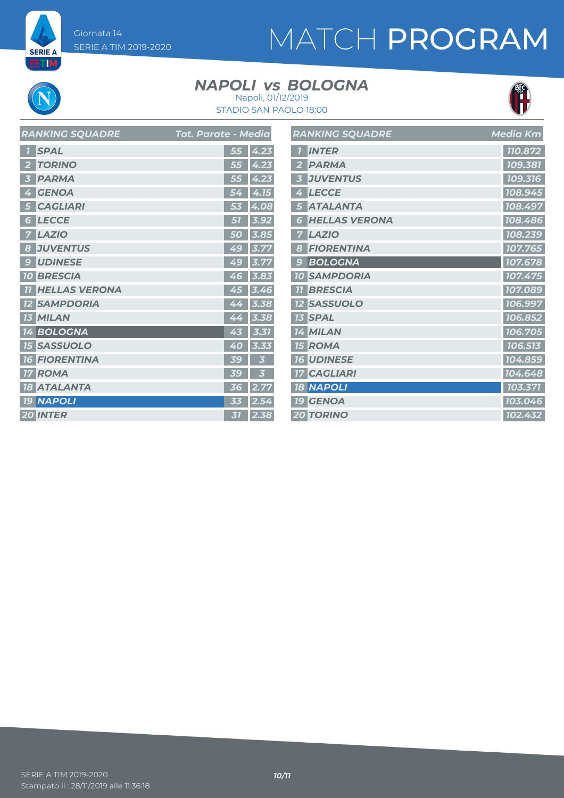# MATCH PROGRAM



**SERIE A ETIM** 

### **NAPOLI** *vs* BOLOGNA



Napoli, 01/12/2019 STADIO SAN PAOLO 18:00  $\overline{\phantom{0}}$ 

| <b>RANKING SQUADRE</b>       | Tot. Parate - Media | <b>RANKING SQL</b>    |
|------------------------------|---------------------|-----------------------|
| <b>SPAL</b>                  | 55<br>4.23          | <b>INTER</b>          |
| <b>TORINO</b>                | 55<br>4.23          | <b>PARMA</b>          |
| <b>PARMA</b>                 | 55<br>4.23          | <b>JUVENTUS</b>       |
| <b>GENOA</b><br>4            | 4.15<br>54          | <b>LECCE</b><br>♦     |
| <b>CAGLIARI</b><br>5         | 4.08<br>53          | <b>ATALANTA</b>       |
| <b>LECCE</b><br>ð            | 51<br>3.92          | <b>HELLAS VE</b><br>G |
| <b>LAZIO</b>                 | 3.85<br>50          | <b>LAZIO</b>          |
| <b>JUVENTUS</b><br>8         | 3.77<br>49          | <b>FIORENTIN</b><br>8 |
| <b>UDINESE</b><br>$\epsilon$ | 49<br>3.77          | <b>BOLOGNA</b>        |
| <b>10 BRESCIA</b>            | 3.83<br>46          | <b>10 SAMPDOR</b>     |
| <b>HELLAS VERONA</b>         | 45<br>3.46          | <b>BRESCIA</b>        |
| <b>SAMPDORIA</b>             | 3.38<br>44          | <b>12 SASSUOLC</b>    |
| <b>13 MILAN</b>              | 44<br>3.38          | <b>13 SPAL</b>        |
| <b>14 BOLOGNA</b>            | 3.31<br>43          | <b>14 MILAN</b>       |
| <b>15 SASSUOLO</b>           | 40<br>3.33          | <b>15 ROMA</b>        |
| <b>16 FIORENTINA</b>         | 39<br>3             | <b>16 UDINESE</b>     |
| <b>17 ROMA</b>               | 3<br>39             | <b>17 CAGLIARI</b>    |
| <b>18 ATALANTA</b>           | 2.77<br>36          | <b>18 NAPOLI</b>      |
| <b>19 NAPOLI</b>             | 2.54<br>33          | <b>19 GENOA</b>       |
| 20 INTER                     | 2.38<br>31          | <b>20 TORINO</b>      |

| <b>RANKING SQUADRE</b>    | <b>Media Km</b> |
|---------------------------|-----------------|
| <b>INTER</b>              | 110.872         |
| <b>PARMA</b>              | 109.381         |
| <b>JUVENTUS</b>           | 109.316         |
| <b>LECCE</b>              | 108.945         |
| <b>ATALANTA</b>           | 108.497         |
| <b>HELLAS VERONA</b><br>G | 108.486         |
| <b>LAZIO</b>              | 108.239         |
| <b>FIORENTINA</b><br>S    | 107.765         |
| <b>BOLOGNA</b><br>g       | 107.678         |
| <b>10 SAMPDORIA</b>       | 107.475         |
| <b>BRESCIA</b>            | 107.089         |
| <b>12 SASSUOLO</b>        | 106.997         |
| <b>13 SPAL</b>            | 106.852         |
| 14 MILAN                  | 106.705         |
| ROMA<br>75                | 106.513         |
| <b>16 UDINESE</b>         | 104.859         |
| <b>17 CAGLIARI</b>        | 104.648         |
| <b>18 NAPOLI</b>          | 103.371         |
| <b>19 GENOA</b>           | 103.046         |
| <b>20 TORINO</b>          | 102.432         |